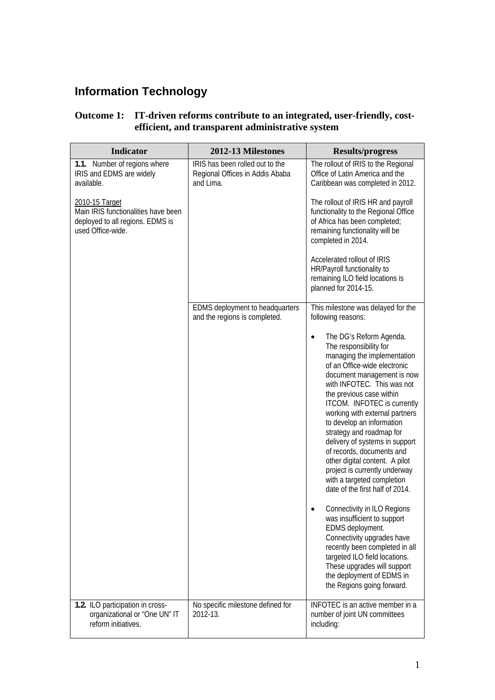## **Information Technology**

| Outcome 1: IT-driven reforms contribute to an integrated, user-friendly, cost- |
|--------------------------------------------------------------------------------|
| efficient, and transparent administrative system                               |

| <b>Indicator</b>                                                                             | 2012-13 Milestones                                                              | <b>Results/progress</b>                                                                                                                                                                                                                                                                                                                                                                                                                                                                                                                            |
|----------------------------------------------------------------------------------------------|---------------------------------------------------------------------------------|----------------------------------------------------------------------------------------------------------------------------------------------------------------------------------------------------------------------------------------------------------------------------------------------------------------------------------------------------------------------------------------------------------------------------------------------------------------------------------------------------------------------------------------------------|
| 1.1. Number of regions where<br>IRIS and EDMS are widely<br>available.<br>2010-15 Target     | IRIS has been rolled out to the<br>Regional Offices in Addis Ababa<br>and Lima. | The rollout of IRIS to the Regional<br>Office of Latin America and the<br>Caribbean was completed in 2012.<br>The rollout of IRIS HR and payroll                                                                                                                                                                                                                                                                                                                                                                                                   |
| Main IRIS functionalities have been<br>deployed to all regions. EDMS is<br>used Office-wide. |                                                                                 | functionality to the Regional Office<br>of Africa has been completed;<br>remaining functionality will be<br>completed in 2014.                                                                                                                                                                                                                                                                                                                                                                                                                     |
|                                                                                              |                                                                                 | Accelerated rollout of IRIS<br>HR/Payroll functionality to<br>remaining ILO field locations is<br>planned for 2014-15.                                                                                                                                                                                                                                                                                                                                                                                                                             |
|                                                                                              | EDMS deployment to headquarters<br>and the regions is completed.                | This milestone was delayed for the<br>following reasons:                                                                                                                                                                                                                                                                                                                                                                                                                                                                                           |
|                                                                                              |                                                                                 | The DG's Reform Agenda.<br>$\bullet$<br>The responsibility for<br>managing the implementation<br>of an Office-wide electronic<br>document management is now<br>with INFOTEC. This was not<br>the previous case within<br>ITCOM. INFOTEC is currently<br>working with external partners<br>to develop an information<br>strategy and roadmap for<br>delivery of systems in support<br>of records, documents and<br>other digital content. A pilot<br>project is currently underway<br>with a targeted completion<br>date of the first half of 2014. |
|                                                                                              |                                                                                 | Connectivity in ILO Regions<br>was insufficient to support<br>EDMS deployment.<br>Connectivity upgrades have<br>recently been completed in all<br>targeted ILO field locations.<br>These upgrades will support<br>the deployment of EDMS in<br>the Regions going forward.                                                                                                                                                                                                                                                                          |
| 1.2. ILO participation in cross-<br>organizational or "One UN" IT<br>reform initiatives.     | No specific milestone defined for<br>2012-13.                                   | INFOTEC is an active member in a<br>number of joint UN committees<br>including:                                                                                                                                                                                                                                                                                                                                                                                                                                                                    |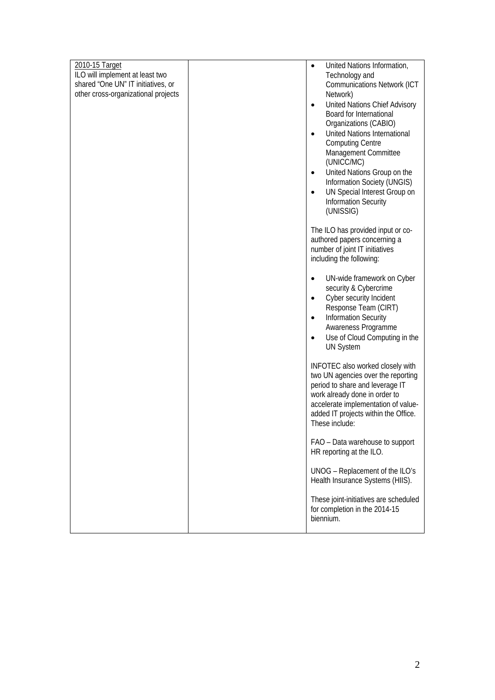| 2010-15 Target                                                            | United Nations Information,<br>$\bullet$                                |
|---------------------------------------------------------------------------|-------------------------------------------------------------------------|
| ILO will implement at least two                                           | Technology and                                                          |
| shared "One UN" IT initiatives, or<br>other cross-organizational projects | <b>Communications Network (ICT</b><br>Network)                          |
|                                                                           | United Nations Chief Advisory<br>$\bullet$                              |
|                                                                           | Board for International                                                 |
|                                                                           | Organizations (CABIO)                                                   |
|                                                                           | United Nations International<br>$\bullet$                               |
|                                                                           | <b>Computing Centre</b>                                                 |
|                                                                           | Management Committee                                                    |
|                                                                           | (UNICC/MC)                                                              |
|                                                                           | United Nations Group on the<br>$\bullet$<br>Information Society (UNGIS) |
|                                                                           | UN Special Interest Group on<br>$\bullet$                               |
|                                                                           | <b>Information Security</b>                                             |
|                                                                           | (UNISSIG)                                                               |
|                                                                           |                                                                         |
|                                                                           | The ILO has provided input or co-                                       |
|                                                                           | authored papers concerning a<br>number of joint IT initiatives          |
|                                                                           | including the following:                                                |
|                                                                           |                                                                         |
|                                                                           | UN-wide framework on Cyber<br>$\bullet$                                 |
|                                                                           | security & Cybercrime                                                   |
|                                                                           | Cyber security Incident<br>$\bullet$                                    |
|                                                                           | Response Team (CIRT)                                                    |
|                                                                           | <b>Information Security</b><br>$\bullet$<br>Awareness Programme         |
|                                                                           | Use of Cloud Computing in the<br>$\bullet$                              |
|                                                                           | <b>UN System</b>                                                        |
|                                                                           |                                                                         |
|                                                                           | INFOTEC also worked closely with                                        |
|                                                                           | two UN agencies over the reporting<br>period to share and leverage IT   |
|                                                                           | work already done in order to                                           |
|                                                                           | accelerate implementation of value-                                     |
|                                                                           | added IT projects within the Office.                                    |
|                                                                           | These include:                                                          |
|                                                                           | FAO - Data warehouse to support                                         |
|                                                                           | HR reporting at the ILO.                                                |
|                                                                           |                                                                         |
|                                                                           | UNOG - Replacement of the ILO's                                         |
|                                                                           | Health Insurance Systems (HIIS).                                        |
|                                                                           | These joint-initiatives are scheduled                                   |
|                                                                           | for completion in the 2014-15                                           |
|                                                                           | biennium.                                                               |
|                                                                           |                                                                         |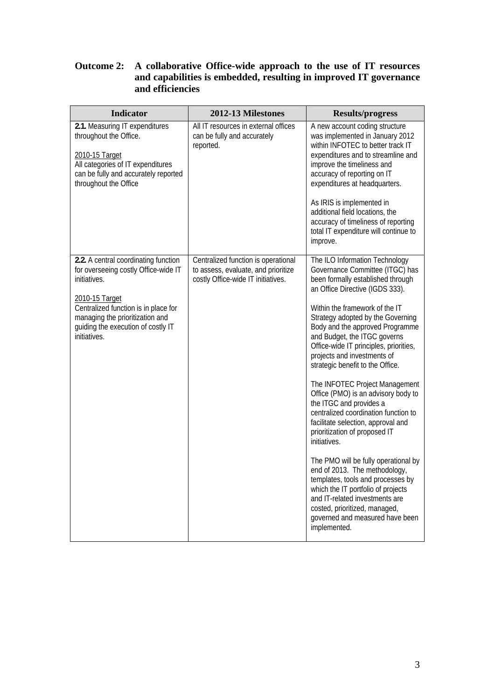## **Outcome 2: A collaborative Office-wide approach to the use of IT resources and capabilities is embedded, resulting in improved IT governance and efficiencies**

| Indicator                                                                                                                                                                                 | 2012-13 Milestones                                                                                               | <b>Results/progress</b>                                                                                                                                                                                                                                                |
|-------------------------------------------------------------------------------------------------------------------------------------------------------------------------------------------|------------------------------------------------------------------------------------------------------------------|------------------------------------------------------------------------------------------------------------------------------------------------------------------------------------------------------------------------------------------------------------------------|
| 2.1. Measuring IT expenditures<br>throughout the Office.<br>2010-15 Target<br>All categories of IT expenditures<br>can be fully and accurately reported<br>throughout the Office          | All IT resources in external offices<br>can be fully and accurately<br>reported.                                 | A new account coding structure<br>was implemented in January 2012<br>within INFOTEC to better track IT<br>expenditures and to streamline and<br>improve the timeliness and<br>accuracy of reporting on IT<br>expenditures at headquarters.                             |
|                                                                                                                                                                                           |                                                                                                                  | As IRIS is implemented in<br>additional field locations, the<br>accuracy of timeliness of reporting<br>total IT expenditure will continue to<br>improve.                                                                                                               |
| 2.2. A central coordinating function<br>for overseeing costly Office-wide IT<br>initiatives.<br>2010-15 Target<br>Centralized function is in place for<br>managing the prioritization and | Centralized function is operational<br>to assess, evaluate, and prioritize<br>costly Office-wide IT initiatives. | The ILO Information Technology<br>Governance Committee (ITGC) has<br>been formally established through<br>an Office Directive (IGDS 333).<br>Within the framework of the IT<br>Strategy adopted by the Governing                                                       |
| guiding the execution of costly IT<br>initiatives.                                                                                                                                        |                                                                                                                  | Body and the approved Programme<br>and Budget, the ITGC governs<br>Office-wide IT principles, priorities,<br>projects and investments of<br>strategic benefit to the Office.                                                                                           |
|                                                                                                                                                                                           |                                                                                                                  | The INFOTEC Project Management<br>Office (PMO) is an advisory body to<br>the ITGC and provides a<br>centralized coordination function to<br>facilitate selection, approval and<br>prioritization of proposed IT<br>initiatives.                                        |
|                                                                                                                                                                                           |                                                                                                                  | The PMO will be fully operational by<br>end of 2013. The methodology,<br>templates, tools and processes by<br>which the IT portfolio of projects<br>and IT-related investments are<br>costed, prioritized, managed,<br>governed and measured have been<br>implemented. |